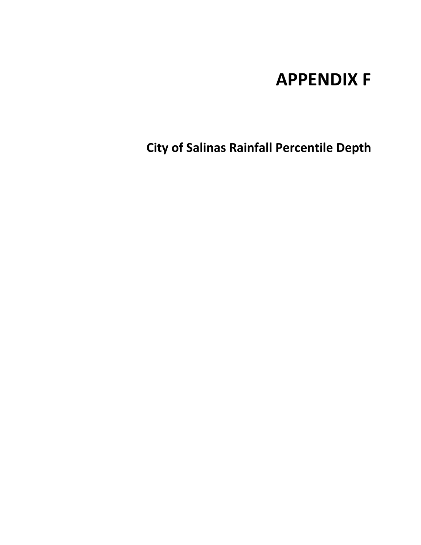## **APPENDIX F**

**City of Salinas Rainfall Percentile Depth**